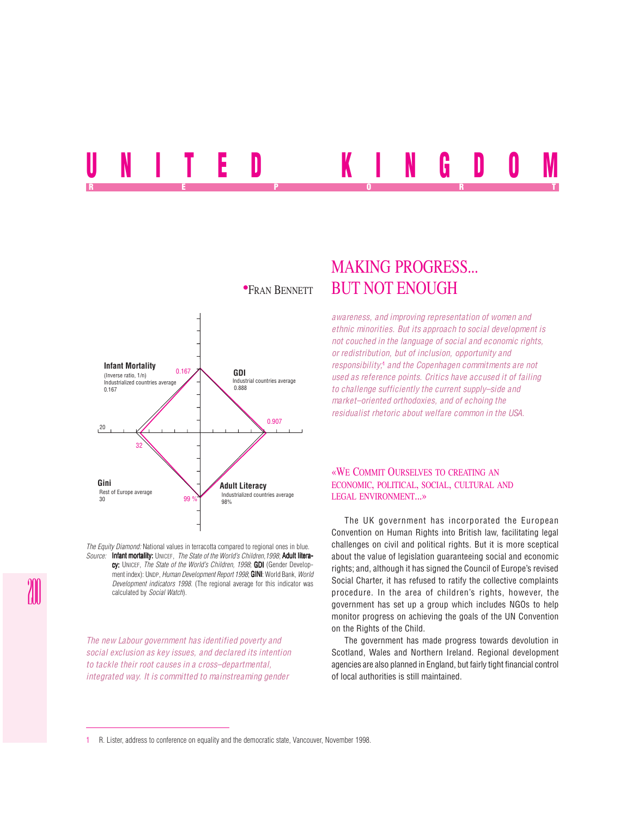# UNITED KINGDOM REPORT OF STATE REPORT OF STATE REPORT OF STATE REPORT OF STATE REPORT OF STATE REPORT OF STATE REPORT OF STATE REPORT OF STATE REPORT OF STATE REPORT OF STATE REPORT OF STATE REPORT OF STATE REPORT OF STATE REPORT OF STAT



*The Equity Diamond:* National values in terracotta compared to regional ones in blue. *Source:* Infant mortality: UNICEF, *The State of the World's Children,1998*; Adult literacy: UNICEF, *The State of the World's Children, 1998*; **GDI** (Gender Development index): UNDP, *Human Development Report 1998*; **GINI**: World Bank, *World Development indicators 1998*. (The regional average for this indicator was calculated by *Social Watch*).

*The new Labour government has identified poverty and social exclusion as key issues, and declared its intention to tackle their root causes in a cross–departmental, integrated way. It is committed to mainstreaming gender*

# MAKING PROGRESS... **\*FRAN BENNETT BUT NOT ENOUGH**

*awareness, and improving representation of women and ethnic minorities. But its approach to social development is not couched in the language of social and economic rights, or redistribution, but of inclusion, opportunity and responsibility;*<sup>1</sup>  *and the Copenhagen commitments are not used as reference points. Critics have accused it of failing to challenge sufficiently the current supply–side and market–oriented orthodoxies, and of echoing the residualist rhetoric about welfare common in the USA.*

## «WE COMMIT OURSELVES TO CREATING AN ECONOMIC, POLITICAL, SOCIAL, CULTURAL AND LEGAL ENVIRONMENT...»

The UK government has incorporated the European Convention on Human Rights into British law, facilitating legal challenges on civil and political rights. But it is more sceptical about the value of legislation guaranteeing social and economic rights; and, although it has signed the Council of Europe's revised Social Charter, it has refused to ratify the collective complaints procedure. In the area of children's rights, however, the government has set up a group which includes NGOs to help monitor progress on achieving the goals of the UN Convention on the Rights of the Child.

The government has made progress towards devolution in Scotland, Wales and Northern Ireland. Regional development agencies are also planned in England, but fairly tight financial control of local authorities is still maintained.

1 R. Lister, address to conference on equality and the democratic state, Vancouver, November 1998.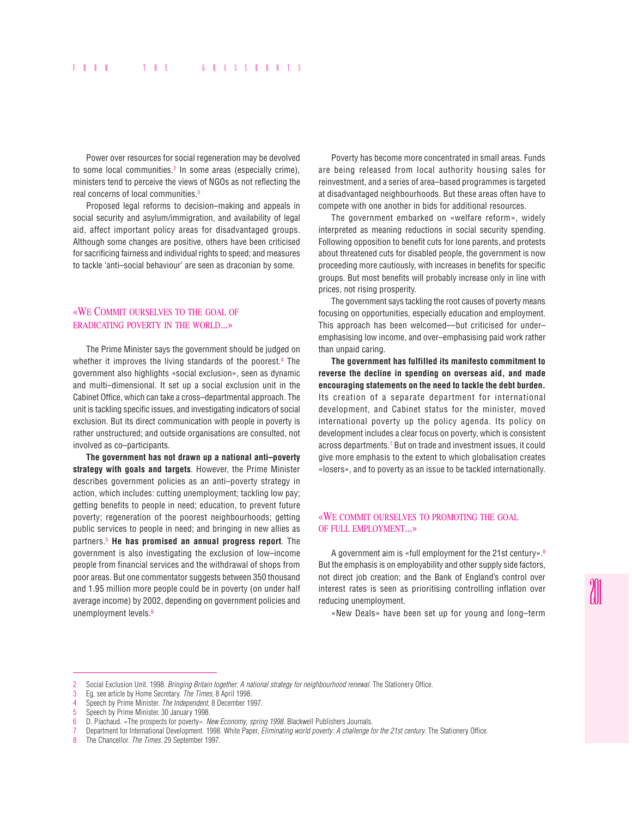Power over resources for social regeneration may be devolved to some local communities.<sup>2</sup> In some areas (especially crime), ministers tend to perceive the views of NGOs as not reflecting the real concerns of local communities.3

Proposed legal reforms to decision–making and appeals in social security and asylum/immigration, and availability of legal aid, affect important policy areas for disadvantaged groups. Although some changes are positive, others have been criticised for sacrificing fairness and individual rights to speed; and measures to tackle 'anti–social behaviour' are seen as draconian by some.

# «WE COMMIT OURSELVES TO THE GOAL OF ERADICATING POVERTY IN THE WORLD...»

The Prime Minister says the government should be judged on whether it improves the living standards of the poorest.4 The government also highlights «social exclusion», seen as dynamic and multi–dimensional. It set up a social exclusion unit in the Cabinet Office, which can take a cross–departmental approach. The unit is tackling specific issues, and investigating indicators of social exclusion. But its direct communication with people in poverty is rather unstructured; and outside organisations are consulted, not involved as co–participants.

**The government has not drawn up a national anti–poverty strategy with goals and targets**. However, the Prime Minister describes government policies as an anti–poverty strategy in action, which includes: cutting unemployment; tackling low pay; getting benefits to people in need; education, to prevent future poverty; regeneration of the poorest neighbourhoods; getting public services to people in need; and bringing in new allies as partners.5 **He has promised an annual progress report**. The government is also investigating the exclusion of low–income people from financial services and the withdrawal of shops from poor areas. But one commentator suggests between 350 thousand and 1.95 million more people could be in poverty (on under half average income) by 2002, depending on government policies and unemployment levels.<sup>6</sup>

Poverty has become more concentrated in small areas. Funds are being released from local authority housing sales for reinvestment, and a series of area–based programmes is targeted at disadvantaged neighbourhoods. But these areas often have to compete with one another in bids for additional resources.

The government embarked on «welfare reform», widely interpreted as meaning reductions in social security spending. Following opposition to benefit cuts for lone parents, and protests about threatened cuts for disabled people, the government is now proceeding more cautiously, with increases in benefits for specific groups. But most benefits will probably increase only in line with prices, not rising prosperity.

The government says tackling the root causes of poverty means focusing on opportunities, especially education and employment. This approach has been welcomed––but criticised for under– emphasising low income, and over–emphasising paid work rather than unpaid caring.

**The government has fulfilled its manifesto commitment to reverse the decline in spending on overseas aid, and made encouraging statements on the need to tackle the debt burden.** Its creation of a separate department for international development, and Cabinet status for the minister, moved international poverty up the policy agenda. Its policy on development includes a clear focus on poverty, which is consistent across departments.7 But on trade and investment issues, it could give more emphasis to the extent to which globalisation creates «losers», and to poverty as an issue to be tackled internationally.

#### «WE COMMIT OURSELVES TO PROMOTING THE GOAL OF FULL EMPLOYMENT...»

A government aim is «full employment for the 21st century».8 But the emphasis is on employability and other supply side factors, not direct job creation; and the Bank of England's control over interest rates is seen as prioritising controlling inflation over reducing unemployment.

«New Deals» have been set up for young and long–term

<sup>2</sup> Social Exclusion Unit. 1998. *Bringing Britain together: A national strategy for neighbourhood renewal*. The Stationery Office.

<sup>3</sup> Eg, see article by Home Secretary. *The Times*, 8 April 1998.

<sup>4</sup> Speech by Prime Minister. *The Independent*, 8 December 1997.

<sup>5</sup> Speech by Prime Minister. 30 January 1998.

<sup>6</sup> D. Piachaud. «The prospects for poverty». *New Economy, spring 1998*. Blackwell Publishers Journals.

<sup>7</sup> Department for International Development. 1998. White Paper, *Eliminating world poverty: A challenge for the 21st century*. The Stationery Office.

<sup>8</sup> The Chancellor. *The Times*. 29 September 1997.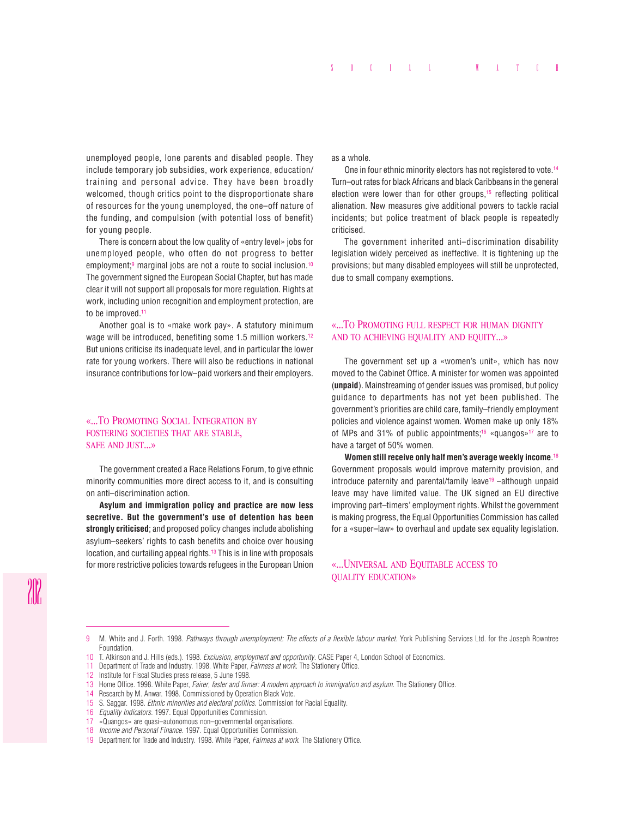unemployed people, lone parents and disabled people. They include temporary job subsidies, work experience, education/ training and personal advice. They have been broadly welcomed, though critics point to the disproportionate share of resources for the young unemployed, the one–off nature of the funding, and compulsion (with potential loss of benefit) for young people.

There is concern about the low quality of «entry level» jobs for unemployed people, who often do not progress to better employment;<sup>9</sup> marginal jobs are not a route to social inclusion.<sup>10</sup> The government signed the European Social Chapter, but has made clear it will not support all proposals for more regulation. Rights at work, including union recognition and employment protection, are to be improved.<sup>11</sup>

Another goal is to «make work pay». A statutory minimum wage will be introduced, benefiting some 1.5 million workers.<sup>12</sup> But unions criticise its inadequate level, and in particular the lower rate for young workers. There will also be reductions in national insurance contributions for low–paid workers and their employers.

# «...TO PROMOTING SOCIAL INTEGRATION BY FOSTERING SOCIETIES THAT ARE STABLE, SAFE AND JUST...»

The government created a Race Relations Forum, to give ethnic minority communities more direct access to it, and is consulting on anti–discrimination action.

**Asylum and immigration policy and practice are now less secretive. But the government's use of detention has been strongly criticised**; and proposed policy changes include abolishing asylum–seekers' rights to cash benefits and choice over housing location, and curtailing appeal rights.13 This is in line with proposals for more restrictive policies towards refugees in the European Union as a whole.

One in four ethnic minority electors has not registered to vote.<sup>14</sup> Turn–out rates for black Africans and black Caribbeans in the general election were lower than for other groups,<sup>15</sup> reflecting political alienation. New measures give additional powers to tackle racial incidents; but police treatment of black people is repeatedly criticised.

The government inherited anti–discrimination disability legislation widely perceived as ineffective. It is tightening up the provisions; but many disabled employees will still be unprotected, due to small company exemptions.

### «...TO PROMOTING FULL RESPECT FOR HUMAN DIGNITY AND TO ACHIEVING EQUALITY AND EQUITY...»

The government set up a «women's unit», which has now moved to the Cabinet Office. A minister for women was appointed (**unpaid**). Mainstreaming of gender issues was promised, but policy guidance to departments has not yet been published. The government's priorities are child care, family–friendly employment policies and violence against women. Women make up only 18% of MPs and 31% of public appointments;<sup>16</sup> «quangos»<sup>17</sup> are to have a target of 50% women.

**Women still receive only half men's average weekly income**. 18 Government proposals would improve maternity provision, and introduce paternity and parental/family leave<sup>19</sup>  $-$ although unpaid leave may have limited value. The UK signed an EU directive improving part–timers' employment rights. Whilst the government is making progress, the Equal Opportunities Commission has called for a «super–law» to overhaul and update sex equality legislation.

#### «...UNIVERSAL AND EQUITABLE ACCESS TO QUALITY EDUCATION»

<sup>9</sup> M. White and J. Forth. 1998. *Pathways through unemployment: The effects of a flexible labour market*. York Publishing Services Ltd. for the Joseph Rowntree Foundation.

<sup>10</sup> T. Atkinson and J. Hills (eds.). 1998. *Exclusion, employment and opportunity*. CASE Paper 4, London School of Economics.

<sup>11</sup> Department of Trade and Industry. 1998. White Paper, *Fairness at work*. The Stationery Office.

<sup>12</sup> Institute for Fiscal Studies press release, 5 June 1998.

<sup>13</sup> Home Office. 1998. White Paper, *Fairer, faster and firmer: A modern approach to immigration and asylum*. The Stationery Office.

<sup>14</sup> Research by M. Anwar. 1998. Commissioned by Operation Black Vote.<br>15 S. Saggar, 1998. *Ethnic minorities and electoral politics*. Commission

<sup>15</sup> S. Saggar. 1998. *Ethnic minorities and electoral politics*. Commission for Racial Equality.

<sup>16</sup> *Equality Indicators*. 1997. Equal Opportunities Commission.

<sup>17</sup> «Quangos» are quasi–autonomous non–governmental organisations.

<sup>18</sup> *Income and Personal Finance*. 1997. Equal Opportunities Commission.

<sup>19</sup> Department for Trade and Industry. 1998. White Paper, *Fairness at work*. The Stationery Office.